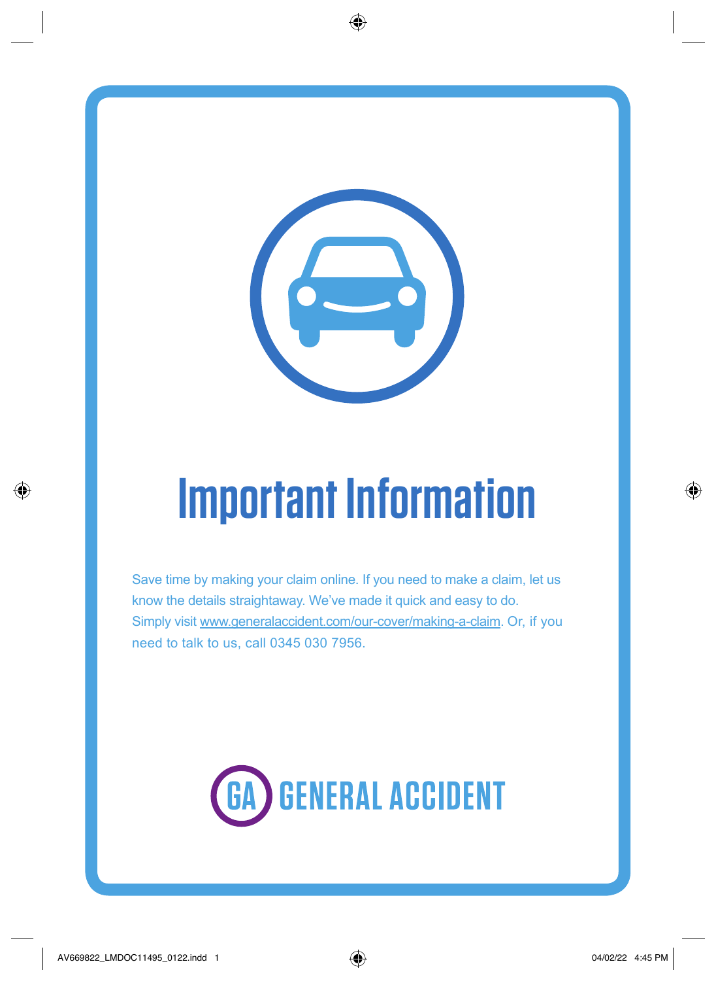

# **Important Information**

Save time by making your claim online. If you need to make a claim, let us know the details straightaway. We've made it quick and easy to do. Simply visit [www.generalaccident.com/our-cover/making-a-claim.](www.generalaccident.com/our-cover/making-a-claim) Or, if you need to talk to us, call 0345 030 7956.

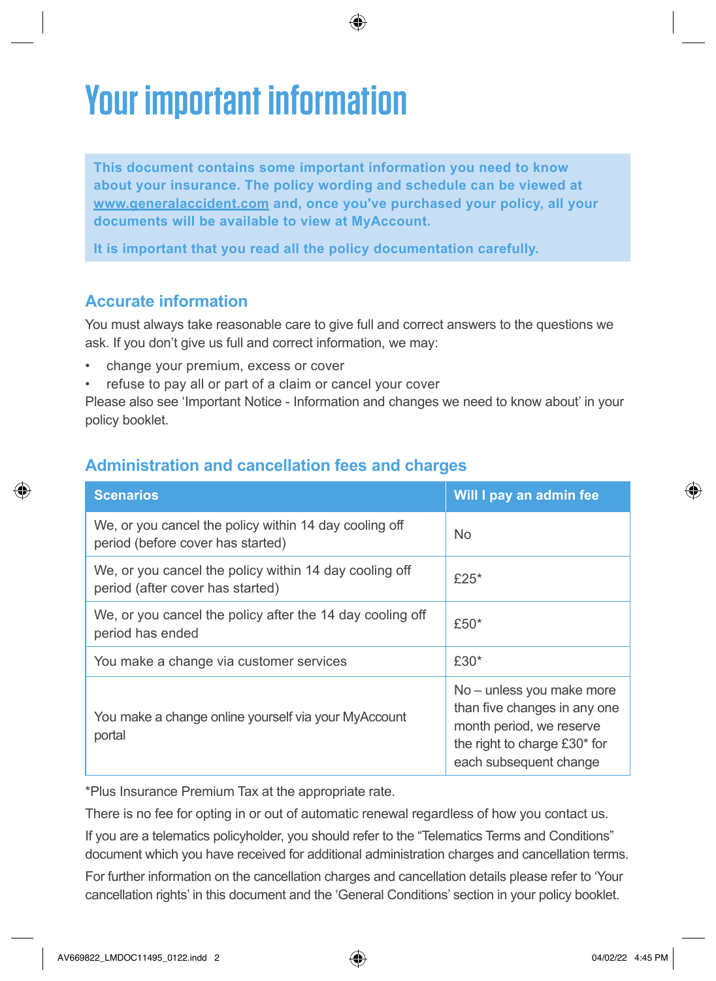# **Your important information**

**This document contains some important information you need to know about your insurance. The policy wording and schedule can be viewed at [www.generalaccident.com](http://www.generalaccident.com) and, once you've purchased your policy, all your documents will be available to view at MyAccount.** 

**It is important that you read all the policy documentation carefully.**

# **Accurate information**

You must always take reasonable care to give full and correct answers to the questions we ask. If you don't give us full and correct information, we may:

- change your premium, excess or cover
- refuse to pay all or part of a claim or cancel your cover

Please also see 'Important Notice - Information and changes we need to know about' in your policy booklet.

# **Administration and cancellation fees and charges**

| <b>Scenarios</b>                                                                            | Will I pay an admin fee                                                                                                                         |
|---------------------------------------------------------------------------------------------|-------------------------------------------------------------------------------------------------------------------------------------------------|
| We, or you cancel the policy within 14 day cooling off<br>period (before cover has started) | No                                                                                                                                              |
| We, or you cancel the policy within 14 day cooling off<br>period (after cover has started)  | £25 $*$                                                                                                                                         |
| We, or you cancel the policy after the 14 day cooling off<br>period has ended               | £50*                                                                                                                                            |
| You make a change via customer services                                                     | £30*                                                                                                                                            |
| You make a change online yourself via your MyAccount<br>portal                              | No - unless you make more<br>than five changes in any one<br>month period, we reserve<br>the right to charge £30* for<br>each subsequent change |

\*Plus Insurance Premium Tax at the appropriate rate.

There is no fee for opting in or out of automatic renewal regardless of how you contact us.

If you are a telematics policyholder, you should refer to the "Telematics Terms and Conditions" document which you have received for additional administration charges and cancellation terms.

For further information on the cancellation charges and cancellation details please refer to 'Your cancellation rights' in this document and the 'General Conditions' section in your policy booklet.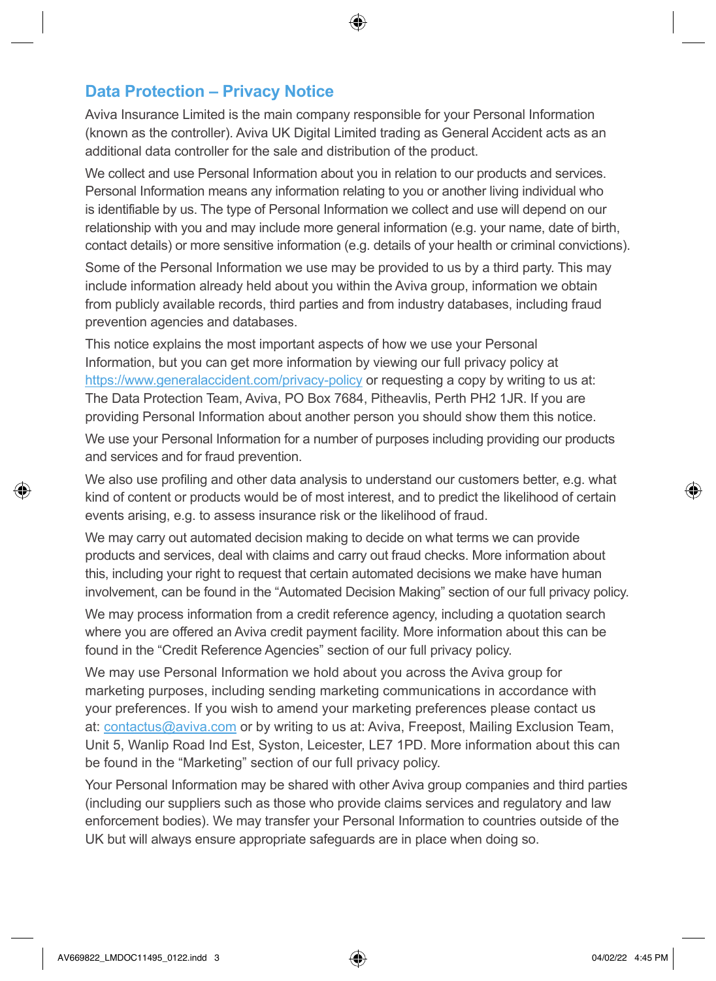# **Data Protection – Privacy Notice**

Aviva Insurance Limited is the main company responsible for your Personal Information (known as the controller). Aviva UK Digital Limited trading as General Accident acts as an additional data controller for the sale and distribution of the product.

We collect and use Personal Information about you in relation to our products and services. Personal Information means any information relating to you or another living individual who is identifiable by us. The type of Personal Information we collect and use will depend on our relationship with you and may include more general information (e.g. your name, date of birth, contact details) or more sensitive information (e.g. details of your health or criminal convictions).

Some of the Personal Information we use may be provided to us by a third party. This may include information already held about you within the Aviva group, information we obtain from publicly available records, third parties and from industry databases, including fraud prevention agencies and databases.

This notice explains the most important aspects of how we use your Personal Information, but you can get more information by viewing our full privacy policy at <https://www.generalaccident.com/privacy-policy>or requesting a copy by writing to us at: The Data Protection Team, Aviva, PO Box 7684, Pitheavlis, Perth PH2 1JR. If you are providing Personal Information about another person you should show them this notice.

We use your Personal Information for a number of purposes including providing our products and services and for fraud prevention.

We also use profiling and other data analysis to understand our customers better, e.g. what kind of content or products would be of most interest, and to predict the likelihood of certain events arising, e.g. to assess insurance risk or the likelihood of fraud.

We may carry out automated decision making to decide on what terms we can provide products and services, deal with claims and carry out fraud checks. More information about this, including your right to request that certain automated decisions we make have human involvement, can be found in the "Automated Decision Making" section of our full privacy policy.

We may process information from a credit reference agency, including a quotation search where you are offered an Aviva credit payment facility. More information about this can be found in the "Credit Reference Agencies" section of our full privacy policy.

We may use Personal Information we hold about you across the Aviva group for marketing purposes, including sending marketing communications in accordance with your preferences. If you wish to amend your marketing preferences please contact us at: [contactus@aviva.com](mailto:contactus@aviva.com) or by writing to us at: Aviva, Freepost, Mailing Exclusion Team, Unit 5, Wanlip Road Ind Est, Syston, Leicester, LE7 1PD. More information about this can be found in the "Marketing" section of our full privacy policy.

Your Personal Information may be shared with other Aviva group companies and third parties (including our suppliers such as those who provide claims services and regulatory and law enforcement bodies). We may transfer your Personal Information to countries outside of the UK but will always ensure appropriate safeguards are in place when doing so.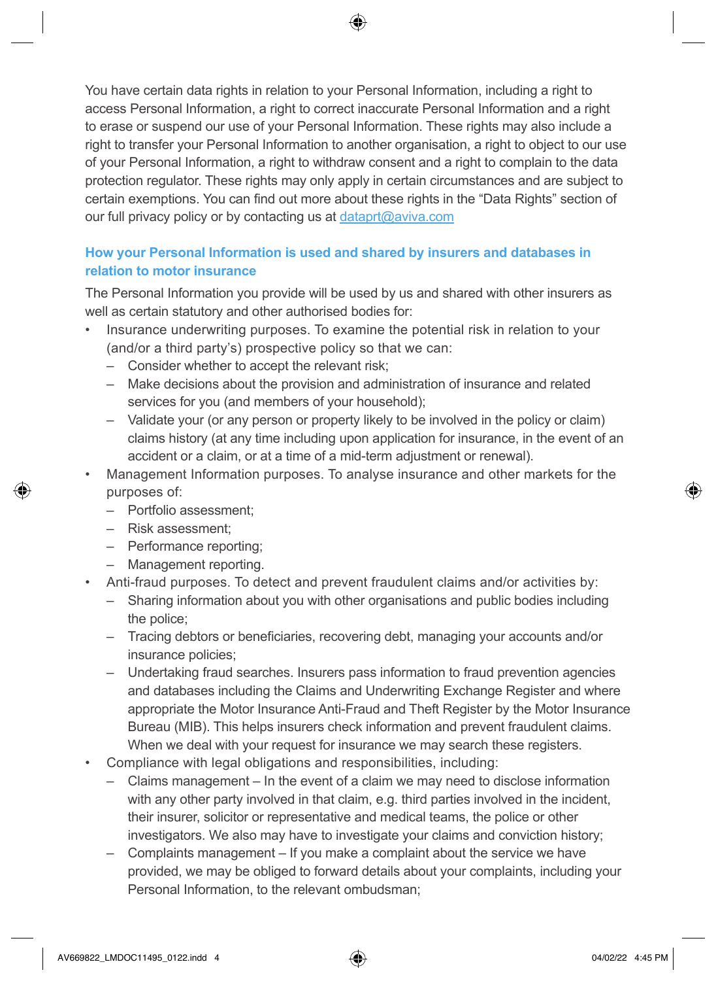You have certain data rights in relation to your Personal Information, including a right to access Personal Information, a right to correct inaccurate Personal Information and a right to erase or suspend our use of your Personal Information. These rights may also include a right to transfer your Personal Information to another organisation, a right to object to our use of your Personal Information, a right to withdraw consent and a right to complain to the data protection regulator. These rights may only apply in certain circumstances and are subject to certain exemptions. You can find out more about these rights in the "Data Rights" section of our full privacy policy or by contacting us at [dataprt@aviva.com](mailto:dataprt@aviva.com)

#### **How your Personal Information is used and shared by insurers and databases in relation to motor insurance**

The Personal Information you provide will be used by us and shared with other insurers as well as certain statutory and other authorised bodies for:

- Insurance underwriting purposes. To examine the potential risk in relation to your (and/or a third party's) prospective policy so that we can:
	- Consider whether to accept the relevant risk;
	- Make decisions about the provision and administration of insurance and related services for you (and members of your household);
	- Validate your (or any person or property likely to be involved in the policy or claim) claims history (at any time including upon application for insurance, in the event of an accident or a claim, or at a time of a mid-term adjustment or renewal).
- Management Information purposes. To analyse insurance and other markets for the purposes of:
	- Portfolio assessment;
	- Risk assessment;
	- Performance reporting;
	- Management reporting.
- Anti-fraud purposes. To detect and prevent fraudulent claims and/or activities by:
	- Sharing information about you with other organisations and public bodies including the police;
	- Tracing debtors or beneficiaries, recovering debt, managing your accounts and/or insurance policies;
	- Undertaking fraud searches. Insurers pass information to fraud prevention agencies and databases including the Claims and Underwriting Exchange Register and where appropriate the Motor Insurance Anti-Fraud and Theft Register by the Motor Insurance Bureau (MIB). This helps insurers check information and prevent fraudulent claims. When we deal with your request for insurance we may search these registers.
- Compliance with legal obligations and responsibilities, including:
	- Claims management In the event of a claim we may need to disclose information with any other party involved in that claim, e.g. third parties involved in the incident, their insurer, solicitor or representative and medical teams, the police or other investigators. We also may have to investigate your claims and conviction history;
	- Complaints management If you make a complaint about the service we have provided, we may be obliged to forward details about your complaints, including your Personal Information, to the relevant ombudsman;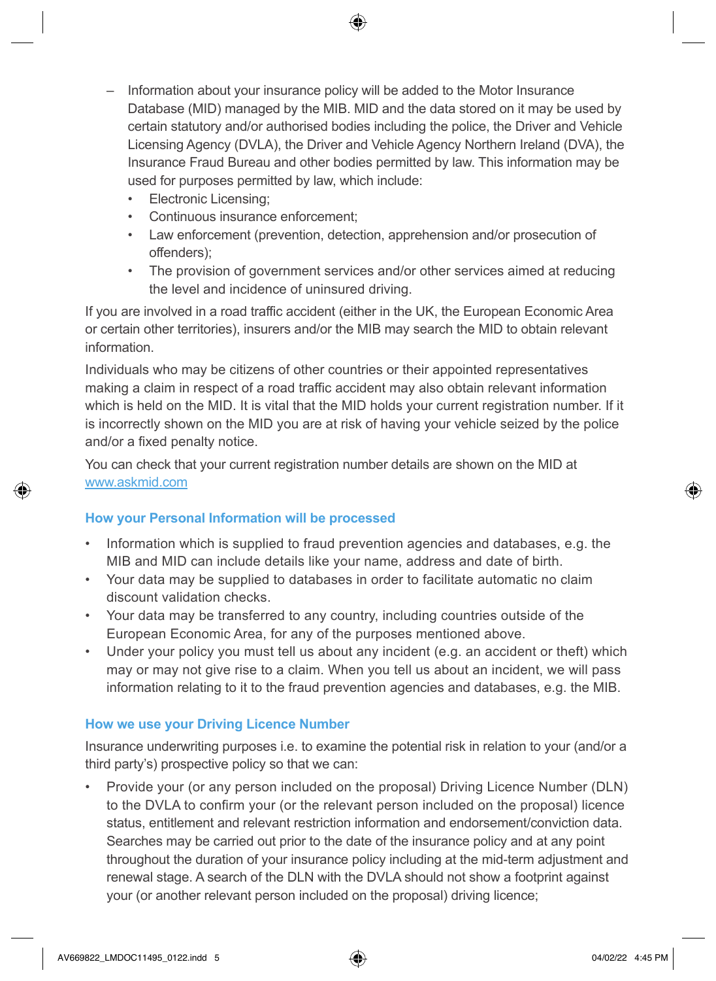- Information about your insurance policy will be added to the Motor Insurance Database (MID) managed by the MIB. MID and the data stored on it may be used by certain statutory and/or authorised bodies including the police, the Driver and Vehicle Licensing Agency (DVLA), the Driver and Vehicle Agency Northern Ireland (DVA), the Insurance Fraud Bureau and other bodies permitted by law. This information may be used for purposes permitted by law, which include:
	- Electronic Licensing;
	- Continuous insurance enforcement;
	- Law enforcement (prevention, detection, apprehension and/or prosecution of offenders);
	- The provision of government services and/or other services aimed at reducing the level and incidence of uninsured driving.

If you are involved in a road traffic accident (either in the UK, the European Economic Area or certain other territories), insurers and/or the MIB may search the MID to obtain relevant information.

Individuals who may be citizens of other countries or their appointed representatives making a claim in respect of a road traffic accident may also obtain relevant information which is held on the MID. It is vital that the MID holds your current registration number. If it is incorrectly shown on the MID you are at risk of having your vehicle seized by the police and/or a fixed penalty notice.

You can check that your current registration number details are shown on the MID at [www.askmid.com](http://www.askmid.com)

#### **How your Personal Information will be processed**

- Information which is supplied to fraud prevention agencies and databases, e.g. the MIB and MID can include details like your name, address and date of birth.
- Your data may be supplied to databases in order to facilitate automatic no claim discount validation checks.
- Your data may be transferred to any country, including countries outside of the European Economic Area, for any of the purposes mentioned above.
- Under your policy you must tell us about any incident (e.g. an accident or theft) which may or may not give rise to a claim. When you tell us about an incident, we will pass information relating to it to the fraud prevention agencies and databases, e.g. the MIB.

#### **How we use your Driving Licence Number**

Insurance underwriting purposes i.e. to examine the potential risk in relation to your (and/or a third party's) prospective policy so that we can:

• Provide your (or any person included on the proposal) Driving Licence Number (DLN) to the DVLA to confirm your (or the relevant person included on the proposal) licence status, entitlement and relevant restriction information and endorsement/conviction data. Searches may be carried out prior to the date of the insurance policy and at any point throughout the duration of your insurance policy including at the mid-term adjustment and renewal stage. A search of the DLN with the DVLA should not show a footprint against your (or another relevant person included on the proposal) driving licence;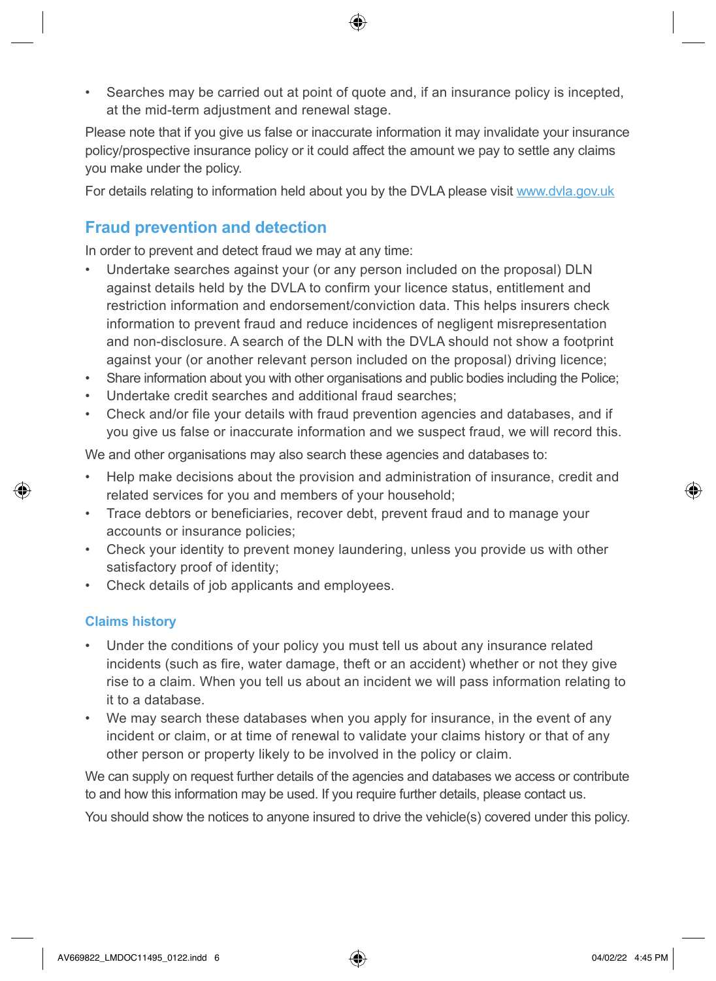• Searches may be carried out at point of quote and, if an insurance policy is incepted, at the mid-term adjustment and renewal stage.

Please note that if you give us false or inaccurate information it may invalidate your insurance policy/prospective insurance policy or it could affect the amount we pay to settle any claims you make under the policy.

For details relating to information held about you by the DVLA please visit [www.dvla.gov.uk](https://dvla.gov.uk)

# **Fraud prevention and detection**

In order to prevent and detect fraud we may at any time:

- Undertake searches against your (or any person included on the proposal) DLN against details held by the DVLA to confirm your licence status, entitlement and restriction information and endorsement/conviction data. This helps insurers check information to prevent fraud and reduce incidences of negligent misrepresentation and non-disclosure. A search of the DLN with the DVLA should not show a footprint against your (or another relevant person included on the proposal) driving licence;
- Share information about you with other organisations and public bodies including the Police;
- Undertake credit searches and additional fraud searches;
- Check and/or file your details with fraud prevention agencies and databases, and if you give us false or inaccurate information and we suspect fraud, we will record this.

We and other organisations may also search these agencies and databases to:

- Help make decisions about the provision and administration of insurance, credit and related services for you and members of your household;
- Trace debtors or beneficiaries, recover debt, prevent fraud and to manage your accounts or insurance policies;
- Check your identity to prevent money laundering, unless you provide us with other satisfactory proof of identity;
- Check details of job applicants and employees.

#### **Claims history**

- Under the conditions of your policy you must tell us about any insurance related incidents (such as fire, water damage, theft or an accident) whether or not they give rise to a claim. When you tell us about an incident we will pass information relating to it to a database.
- We may search these databases when you apply for insurance, in the event of any incident or claim, or at time of renewal to validate your claims history or that of any other person or property likely to be involved in the policy or claim.

We can supply on request further details of the agencies and databases we access or contribute to and how this information may be used. If you require further details, please contact us.

You should show the notices to anyone insured to drive the vehicle(s) covered under this policy.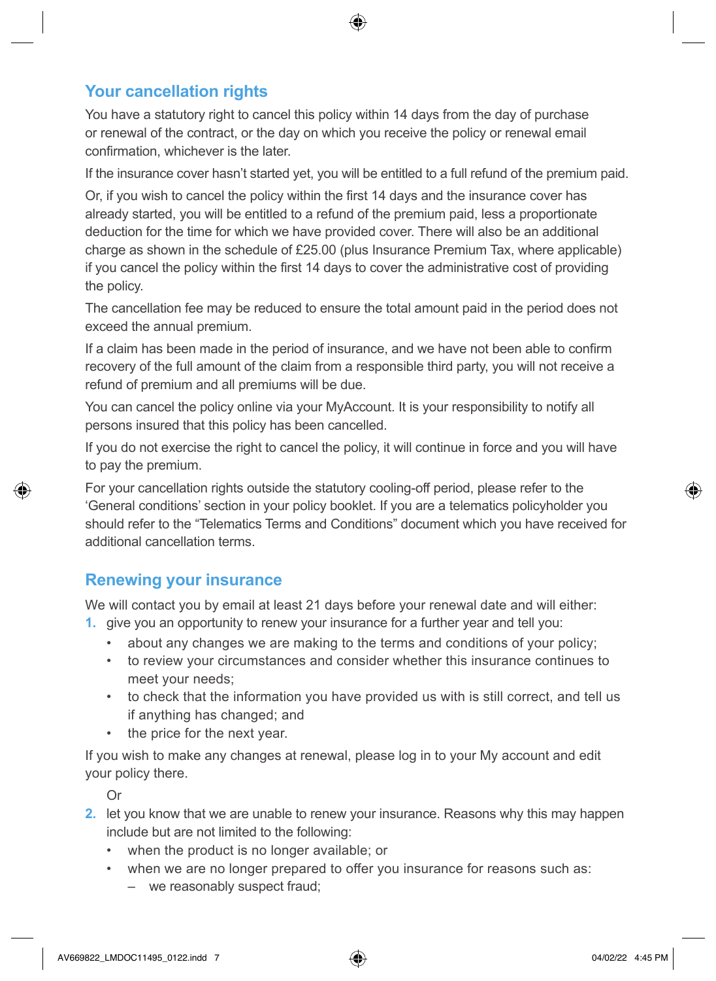# **Your cancellation rights**

You have a statutory right to cancel this policy within 14 days from the day of purchase or renewal of the contract, or the day on which you receive the policy or renewal email confirmation, whichever is the later.

If the insurance cover hasn't started yet, you will be entitled to a full refund of the premium paid.

Or, if you wish to cancel the policy within the first 14 days and the insurance cover has already started, you will be entitled to a refund of the premium paid, less a proportionate deduction for the time for which we have provided cover. There will also be an additional charge as shown in the schedule of £25.00 (plus Insurance Premium Tax, where applicable) if you cancel the policy within the first 14 days to cover the administrative cost of providing the policy.

The cancellation fee may be reduced to ensure the total amount paid in the period does not exceed the annual premium.

If a claim has been made in the period of insurance, and we have not been able to confirm recovery of the full amount of the claim from a responsible third party, you will not receive a refund of premium and all premiums will be due.

You can cancel the policy online via your MyAccount. It is your responsibility to notify all persons insured that this policy has been cancelled.

If you do not exercise the right to cancel the policy, it will continue in force and you will have to pay the premium.

For your cancellation rights outside the statutory cooling-off period, please refer to the 'General conditions' section in your policy booklet. If you are a telematics policyholder you should refer to the "Telematics Terms and Conditions" document which you have received for additional cancellation terms.

# **Renewing your insurance**

We will contact you by email at least 21 days before your renewal date and will either:

- **1.** give you an opportunity to renew your insurance for a further year and tell you:
	- about any changes we are making to the terms and conditions of your policy;
	- to review your circumstances and consider whether this insurance continues to meet your needs;
	- to check that the information you have provided us with is still correct, and tell us if anything has changed; and
	- the price for the next year.

If you wish to make any changes at renewal, please log in to your My account and edit your policy there.

Or

- **2.** let you know that we are unable to renew your insurance. Reasons why this may happen include but are not limited to the following:
	- when the product is no longer available; or
	- when we are no longer prepared to offer you insurance for reasons such as:
		- we reasonably suspect fraud;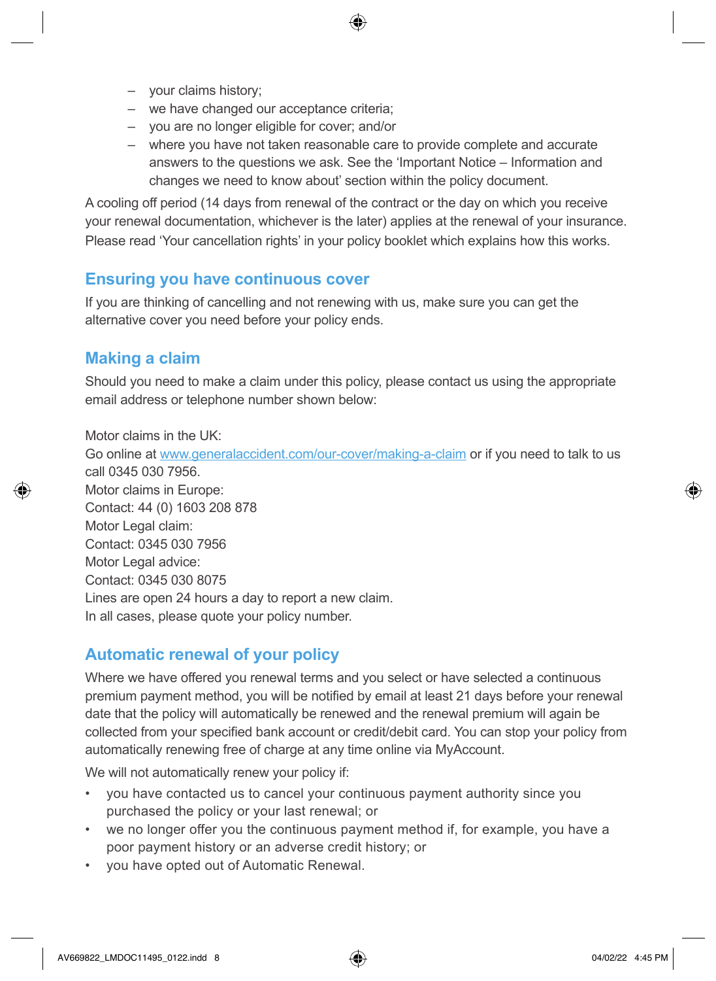- your claims history;
- we have changed our acceptance criteria;
- you are no longer eligible for cover; and/or
- where you have not taken reasonable care to provide complete and accurate answers to the questions we ask. See the 'Important Notice – Information and changes we need to know about' section within the policy document.

A cooling off period (14 days from renewal of the contract or the day on which you receive your renewal documentation, whichever is the later) applies at the renewal of your insurance. Please read 'Your cancellation rights' in your policy booklet which explains how this works.

#### **Ensuring you have continuous cover**

If you are thinking of cancelling and not renewing with us, make sure you can get the alternative cover you need before your policy ends.

# **Making a claim**

Should you need to make a claim under this policy, please contact us using the appropriate email address or telephone number shown below:

Motor claims in the UK: Go online at<www.generalaccident.com/our-cover/making-a-claim>or if you need to talk to us call 0345 030 7956. Motor claims in Europe: Contact: 44 (0) 1603 208 878 Motor Legal claim: Contact: 0345 030 7956 Motor Legal advice: Contact: 0345 030 8075 Lines are open 24 hours a day to report a new claim. In all cases, please quote your policy number.

#### **Automatic renewal of your policy**

Where we have offered you renewal terms and you select or have selected a continuous premium payment method, you will be notified by email at least 21 days before your renewal date that the policy will automatically be renewed and the renewal premium will again be collected from your specified bank account or credit/debit card. You can stop your policy from automatically renewing free of charge at any time online via MyAccount.

We will not automatically renew your policy if:

- you have contacted us to cancel your continuous payment authority since you purchased the policy or your last renewal; or
- we no longer offer you the continuous payment method if, for example, you have a poor payment history or an adverse credit history; or
- you have opted out of Automatic Renewal.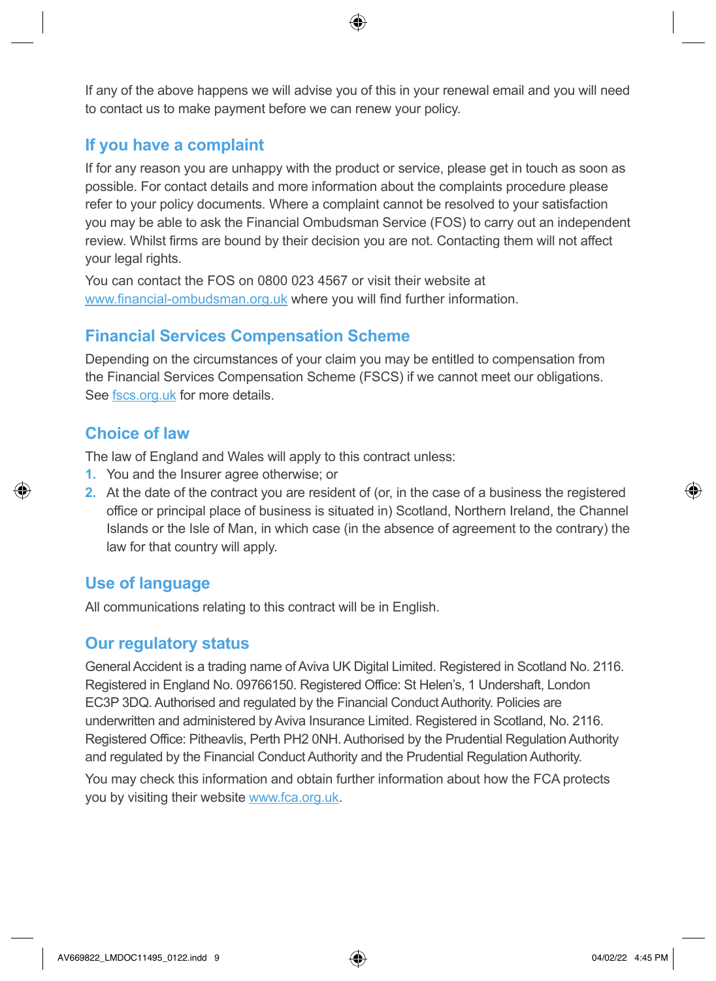If any of the above happens we will advise you of this in your renewal email and you will need to contact us to make payment before we can renew your policy.

#### **If you have a complaint**

If for any reason you are unhappy with the product or service, please get in touch as soon as possible. For contact details and more information about the complaints procedure please refer to your policy documents. Where a complaint cannot be resolved to your satisfaction you may be able to ask the Financial Ombudsman Service (FOS) to carry out an independent review. Whilst firms are bound by their decision you are not. Contacting them will not affect your legal rights.

You can contact the FOS on 0800 023 4567 or visit their website at www.financial-ombudsman.org.uk where you will find further information.

# **Financial Services Compensation Scheme**

Depending on the circumstances of your claim you may be entitled to compensation from the Financial Services Compensation Scheme (FSCS) if we cannot meet our obligations. See [fscs.org.uk](http://fscs.org.uk) for more details.

# **Choice of law**

The law of England and Wales will apply to this contract unless:

- **1.** You and the Insurer agree otherwise; or
- **2.** At the date of the contract you are resident of (or, in the case of a business the registered office or principal place of business is situated in) Scotland, Northern Ireland, the Channel Islands or the Isle of Man, in which case (in the absence of agreement to the contrary) the law for that country will apply.

# **Use of language**

All communications relating to this contract will be in English.

#### **Our regulatory status**

General Accident is a trading name of Aviva UK Digital Limited. Registered in Scotland No. 2116. Registered in England No. 09766150. Registered Office: St Helen's, 1 Undershaft, London EC3P 3DQ. Authorised and regulated by the Financial Conduct Authority. Policies are underwritten and administered by Aviva Insurance Limited. Registered in Scotland, No. 2116. Registered Office: Pitheavlis, Perth PH2 0NH. Authorised by the Prudential Regulation Authority and regulated by the Financial Conduct Authority and the Prudential Regulation Authority.

You may check this information and obtain further information about how the FCA protects you by visiting their website www.[fca.org.uk](http://fca.org.uk).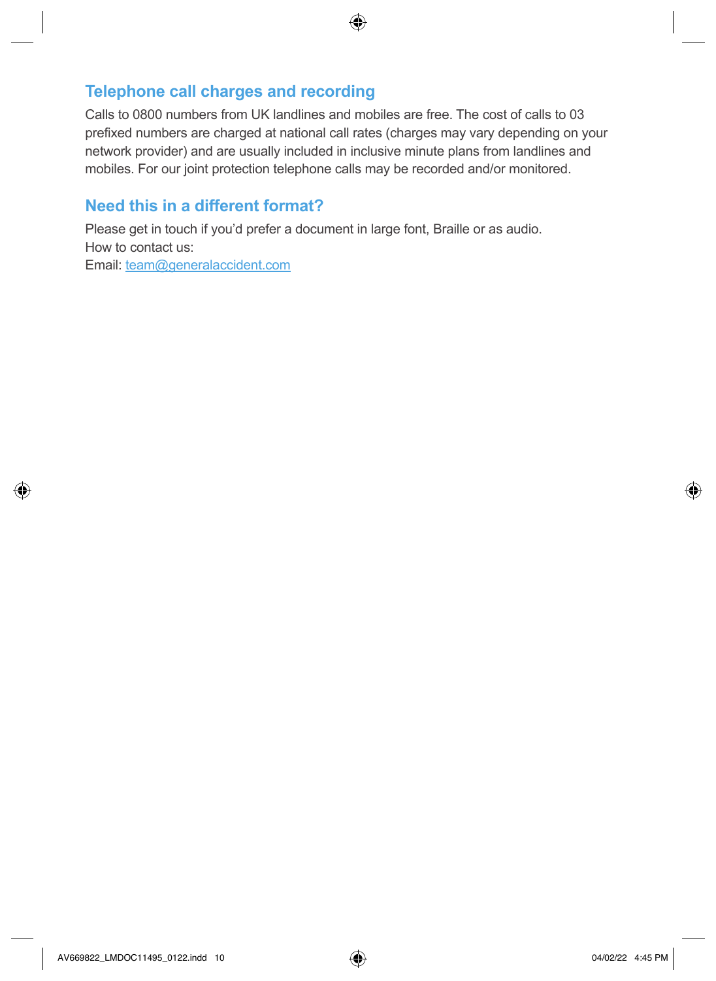# **Telephone call charges and recording**

Calls to 0800 numbers from UK landlines and mobiles are free. The cost of calls to 03 prefixed numbers are charged at national call rates (charges may vary depending on your network provider) and are usually included in inclusive minute plans from landlines and mobiles. For our joint protection telephone calls may be recorded and/or monitored.

# **Need this in a different format?**

Please get in touch if you'd prefer a document in large font, Braille or as audio. How to contact us: Email: [team@generalaccident.com](mailto:team@generalaccident.com)